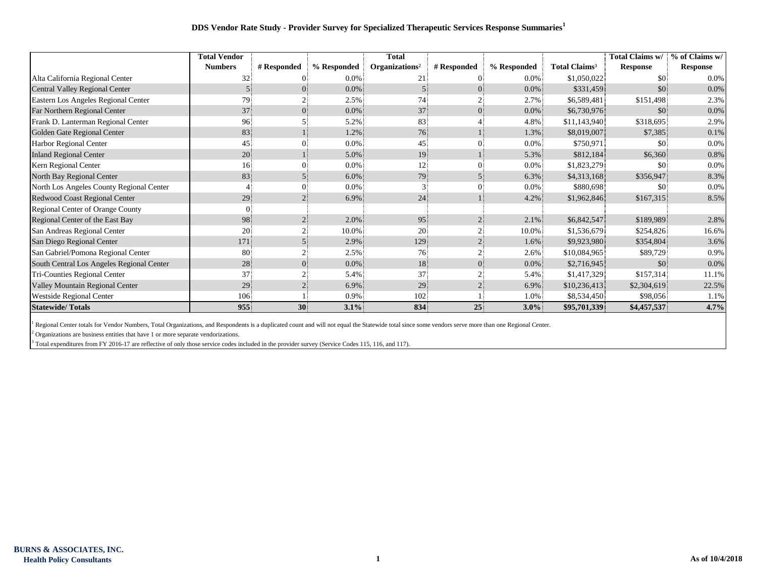## **DDS Vendor Rate Study - Provider Survey for Specialized Therapeutic Services Response Summaries<sup>1</sup>**

|                                           | <b>Total Vendor</b> |                 |             | <b>Total</b>               |             |             |                                 | Total Claims w/ | % of Claims w/  |
|-------------------------------------------|---------------------|-----------------|-------------|----------------------------|-------------|-------------|---------------------------------|-----------------|-----------------|
|                                           | <b>Numbers</b>      | # Responded     | % Responded | Organizations <sup>2</sup> | # Responded | % Responded | <b>Total Claims<sup>3</sup></b> | <b>Response</b> | <b>Response</b> |
| Alta California Regional Center           | 32                  |                 | $0.0\%$     |                            |             | $0.0\%$     | \$1,050,022                     | \$0             | 0.0%            |
| Central Valley Regional Center            |                     |                 | $0.0\%$     |                            |             | $0.0\%$     | \$331,459                       | \$0.5           | $0.0\%$         |
| Eastern Los Angeles Regional Center       | 79                  |                 | 2.5%        | 74                         |             | 2.7%        | \$6,589,481                     | \$151,498       | 2.3%            |
| Far Northern Regional Center              | 37                  |                 | $0.0\%$     | 37                         |             | $0.0\%$     | \$6,730,976                     | \$0             | $0.0\%$         |
| Frank D. Lanterman Regional Center        | 96.                 |                 | 5.2%        | 83                         |             | 4.8%        | \$11,143,940                    | \$318,695       | 2.9%            |
| Golden Gate Regional Center               | 83                  |                 | 1.2%        | 76                         |             | 1.3%        | \$8,019,007                     | \$7,385         | 0.1%            |
| Harbor Regional Center                    | 45                  |                 | 0.0%        | 45                         |             | $0.0\%$     | \$750,971                       | \$0             | $0.0\%$         |
| <b>Inland Regional Center</b>             | 20                  |                 | 5.0%        | 19                         |             | 5.3%        | \$812,184                       | \$6,360         | 0.8%            |
| Kern Regional Center                      | 16 <sup>1</sup>     |                 | 0.0%        | 12                         |             | $0.0\%$     | \$1,823,279                     | \$0             | 0.0%            |
| North Bay Regional Center                 | 83                  |                 | 6.0%        | 79                         |             | 6.3%        | \$4,313,168                     | \$356,947       | 8.3%            |
| North Los Angeles County Regional Center  |                     |                 | 0.0%        |                            |             | 0.0%        | \$880,698                       | \$0             | 0.0%            |
| Redwood Coast Regional Center             | 29.                 |                 | 6.9%        | 24                         |             | 4.2%        | \$1,962,846                     | \$167,315       | 8.5%            |
| Regional Center of Orange County          |                     |                 |             |                            |             |             |                                 |                 |                 |
| Regional Center of the East Bay           | 98                  |                 | 2.0%        | 95                         |             | $2.1\%$     | \$6,842,547                     | \$189,989       | 2.8%            |
| San Andreas Regional Center               | 20                  |                 | 10.0%       | 20                         |             | 10.0%       | \$1,536,679                     | \$254,826       | 16.6%           |
| San Diego Regional Center                 | 171                 |                 | 2.9%        | 129                        |             | 1.6%        | \$9,923,980                     | \$354,804       | 3.6%            |
| San Gabriel/Pomona Regional Center        | 80                  |                 | 2.5%        | 76                         |             | 2.6%        | \$10,084,965                    | \$89,729        | 0.9%            |
| South Central Los Angeles Regional Center | 28                  |                 | $0.0\%$     | 18                         |             | $0.0\%$     | \$2,716,945                     | \$0             | $0.0\%$         |
| Tri-Counties Regional Center              | 37                  |                 | 5.4%        | 37                         |             | 5.4%        | \$1,417,329                     | \$157,314       | 11.1%           |
| Valley Mountain Regional Center           | 29                  |                 | 6.9%        | 29                         |             | 6.9%        | \$10,236,413                    | \$2,304,619     | 22.5%           |
| Westside Regional Center                  | 106                 |                 | 0.9%        | 102                        |             | 1.0%        | \$8,534,450                     | \$98,056        | 1.1%            |
| <b>Statewide/Totals</b>                   | 955                 | 30 <sup>°</sup> | $3.1\%$     | 834                        | 25          | $3.0\%$     | \$95,701,339                    | \$4,457,537     | 4.7%            |

<sup>1</sup> Regional Center totals for Vendor Numbers, Total Organizations, and Respondents is a duplicated count and will not equal the Statewide total since some vendors serve more than one Regional Center.

 $2$  Organizations are business entities that have 1 or more separate vendorizations.

 $3$  Total expenditures from FY 2016-17 are reflective of only those service codes included in the provider survey (Service Codes 115, 116, and 117).